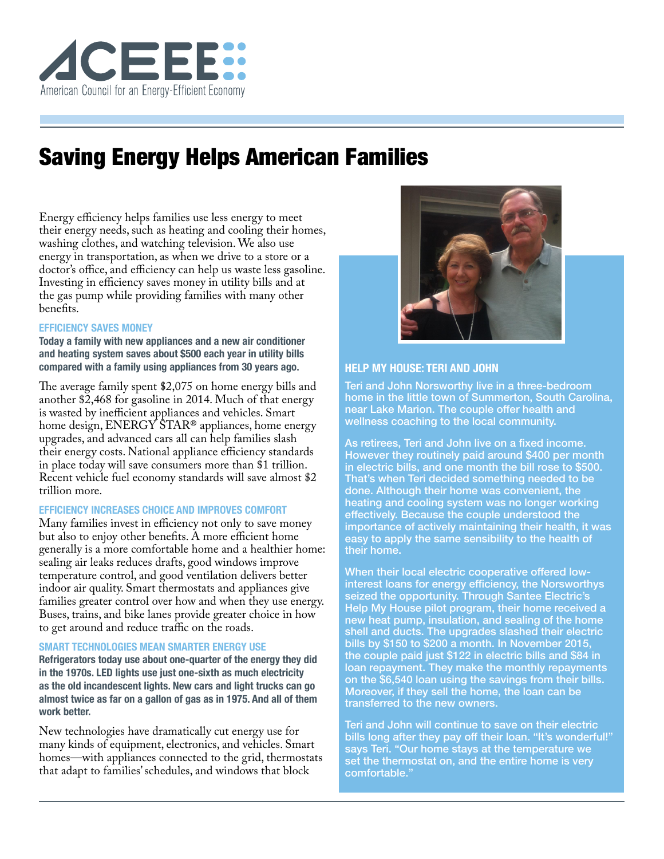

# Saving Energy Helps American Families

Energy efficiency helps families use less energy to meet their energy needs, such as heating and cooling their homes, washing clothes, and watching television. We also use energy in transportation, as when we drive to a store or a doctor's office, and efficiency can help us waste less gasoline. Investing in efficiency saves money in utility bills and at the gas pump while providing families with many other benefits.

### **EFFICIENCY SAVES MONEY**

**Today a family with new appliances and a new air conditioner and heating system saves about \$500 each year in utility bills compared with a family using appliances from 30 years ago.** 

The average family spent \$2,075 on home energy bills and another \$2,468 for gasoline in 2014. Much of that energy is wasted by inefficient appliances and vehicles. Smart home design, ENERGY STAR® appliances, home energy upgrades, and advanced cars all can help families slash their energy costs. National appliance efficiency standards in place today will save consumers more than \$1 trillion. Recent vehicle fuel economy standards will save almost \$2 trillion more.

# **EFFICIENCY INCREASES CHOICE AND IMPROVES COMFORT**

Many families invest in efficiency not only to save money but also to enjoy other benefits. A more efficient home generally is a more comfortable home and a healthier home: sealing air leaks reduces drafts, good windows improve temperature control, and good ventilation delivers better indoor air quality. Smart thermostats and appliances give families greater control over how and when they use energy. Buses, trains, and bike lanes provide greater choice in how to get around and reduce traffic on the roads.

# **SMART TECHNOLOGIES MEAN SMARTER ENERGY USE**

**Refrigerators today use about one-quarter of the energy they did in the 1970s. LED lights use just one-sixth as much electricity as the old incandescent lights. New cars and light trucks can go almost twice as far on a gallon of gas as in 1975. And all of them work better.**

New technologies have dramatically cut energy use for many kinds of equipment, electronics, and vehicles. Smart homes—with appliances connected to the grid, thermostats that adapt to families' schedules, and windows that block



## **HELP MY HOUSE: TERI AND JOHN**

Teri and John Norsworthy live in a three-bedroom home in the little town of Summerton, South Carolina, near Lake Marion. The couple offer health and wellness coaching to the local community.

As retirees, Teri and John live on a fixed income. However they routinely paid around \$400 per month in electric bills, and one month the bill rose to \$500. That's when Teri decided something needed to be done. Although their home was convenient, the heating and cooling system was no longer working effectively. Because the couple understood the importance of actively maintaining their health, it was easy to apply the same sensibility to the health of their home.

When their local electric cooperative offered lowinterest loans for energy efficiency, the Norsworthys seized the opportunity. Through Santee Electric's Help My House pilot program, their home received a new heat pump, insulation, and sealing of the home shell and ducts. The upgrades slashed their electric bills by \$150 to \$200 a month. In November 2015, the couple paid just \$122 in electric bills and \$84 in loan repayment. They make the monthly repayments on the \$6,540 loan using the savings from their bills. Moreover, if they sell the home, the loan can be transferred to the new owners.

Teri and John will continue to save on their electric bills long after they pay off their loan. "It's wonderful!" says Teri. "Our home stays at the temperature we set the thermostat on, and the entire home is very comfortable."